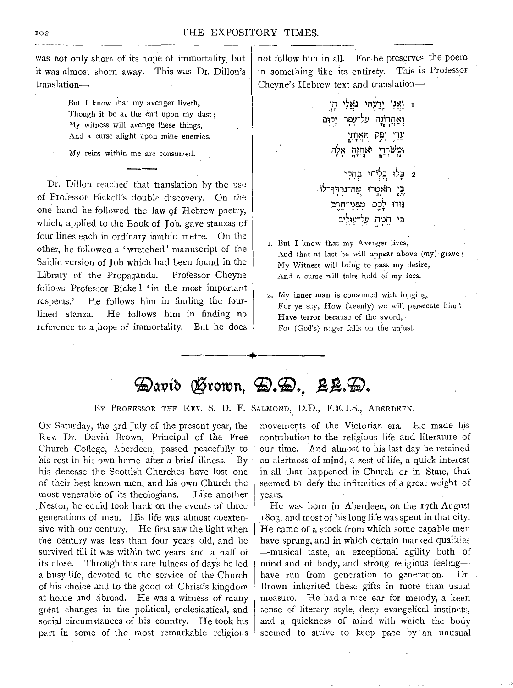was not only shorn of its hope of immortality, but it was almost shorn away. This was Dr. Dillon's translation-

> But I know that my avenger liveth, Though it be at the end upon my dust; My witness will avenge these things, And a curse alight upon mine enemies.

My reins within me are consumed.

Dr. Dillon reached that translation by the use of Professor Bickell's double discovery. On the one hand he followed the law of Hebrew poetry, which, applied to the Book of Job, gave stanzas of four lines each in ordinary iambic metre. On the other, he followed a 'wretched' manuscript of the Saidic version of Job which had been found in the Library of the Propaganda. Professor Cheyne follows Professor Bickell 'in the most important respects.' He follows him in . finding the fourlined stanza. He follows him in finding no reference to a hope of immortality. But he does not follow him in all. For he preserves the poem in something like its entirety. This is Professor Cheyne's Hebrew text and translation-

 $\mu$ ַ וַאֲלִי דָוָי גאֲלִי דְוָי ואחרונה על־עפר יקוּם ~l}J~~- ~~; *:!P.* n;,~ nrn~~ ii\::il;)~ **TT l(jT-!I lift-!** !J בלו כליתי בחקי $_2$ בי תאמרו מה־נרדף־לו :lin-IJSI;) D."J' ~i~~ *•:•.•* ··! • •,• <sup>T</sup> חמה על־עוּלים

- r. But I know that my Avenger lives, And that at last he will appear above (my) grave; My Witness will bring to pass my desire, And a curse will take hold of my foes.
- 2. My inner man is consumed with longing, For ye say, How (keenly) we will persecute him t Have terror because of the sword, For (God's) anger falls on the unjust.

## David Frown, D.D., BL.D.

--~----·+·-------

BY PROFESSOR THE REV. S. D. F. SALMOND, D.D., F.E.I.S., ABERDEEN.

ON Saturday, the 3rd July of the present year, the Rev. Dr. David Brown, Principal of the Free Church College, Aberdeen, passed peacefully to his rest in his own home after a brief illness. By his decease the Scottish Churches have lost one of their best known men, and his own Church the most venerable of its theologians. Like another . Nestor, he could look back on the events of three generations of men. His life was almost coextensive with our century. He first saw the light when the century was less than four years old, and he survived till it was within two years and a half of its close. Through this rare fulness of days he led a busy life, devoted to the service of the Church of his choice and to the good of Christ's kingdom at home and abroad. He was a witness of many great changes in the political, ecclesiastical, and social circumstances of his country. He took his part in some of the most remarkable religious

movements of the Victorian era. He made his contribution to the religious life and literature of our time. And almost to his last day he retained an alertness of mind, a zest of life, a quick interest in all that happened in Church or in State, that seemed to defy the infirmities of a great weight of years.

He was born in Aberdeen, on the 17th August 1803, and most of his long life was spent in that city. He came of a stock from which some capable men have sprung, and in which certain marked qualities -musical taste, an exceptional agility both of mind and of body, and strong religious feelinghave run from generation to generation. Dr. Brown inherited these gifts in more than usual measure. He had a nice ear for melody, a keen sense of literary style, deep evangelical instincts, and a quickness of mind with which the body seemed to strive to keep pace by an unusual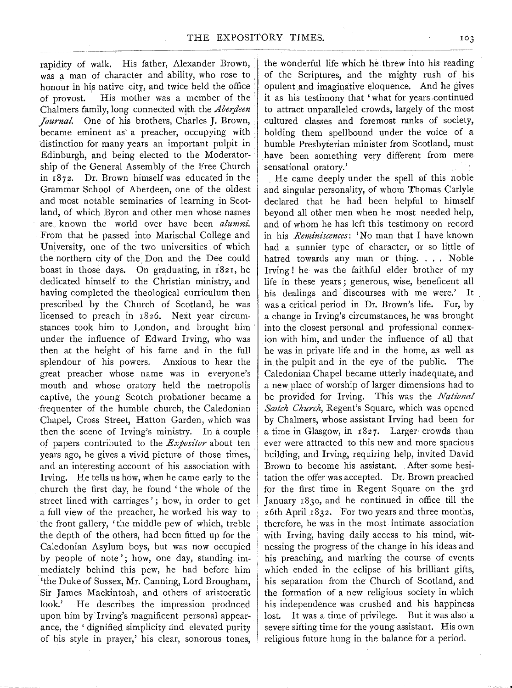rapidity of walk. His father, Alexander Brown, was a man of character and ability, who rose to honour in his native city, and twice held the office of provost. His mother was a member of the Chalmers family, long connected with the *Aberdeen Journal.* One of his brothers, Charles J. Brown, became eminent as a preacher, occupying with distinction for many years an important pulpit in Edinburgh, and being elected to the Moderatorship of the General Assembly of the Free Church in 1872. Dr. Brown himself was educated in the Grammar School of Aberdeen, one of the oldest and most notable seminaries of learning in Scotland, of which Byron and other men whose names are. known the world over have been *alunmi.*  From that he passed into Marischal College and University, one of the two universities of which the northern city of the Don and the Dee could boast in those days. On graduating, in r821, he dedicated himself to the Christian ministry, and having completed the theological curriculum then prescribed by the Church of Scotland, he was licensed to preach in 1826. Next year circumstances took him to London, and brought him under the influence of Edward Irving, who was then at the height of his fame and in the full splendour of his powers. Anxious to hear the great preacher whose name was in everyone's mouth and whose oratory held the metropolis captive, the young Scotch probationer became a frequenter of the humble church, the Caledonian Chapel, Cross Street, Hatton Garden, which was then the scene of Irving's ministry. In a couple of papers contributed to the *Expositor* about ten years ago, he gives a vivid picture of those times, and an interesting account of his association with Irving. He tells us how, when he came early to the church the first day, he found 'the whole of the street lined with carriages'; how, in order to get a full view of the preacher, he worked his way to the front gallery, 'the middle pew of which, treble the depth of the others, had been fitted up for the Caledonian Asylum boys, but was now occupied by people of note'; how, one day, standing immediately behind this pew, he had before him 'the Duke of Sussex, Mr. Canning, Lord Brougham, Sir James Mackintosh, and others of aristocratic look.' He describes the impression produced upon him by Irving's magnificent personal appearance, the 'dignified simplicity and elevated purity of his style in prayer,' his clear, sonorous tones,

the wonderful life which he threw into his reading of the Scriptures, and the mighty rush of his opulent and imaginative eloquence. And he gives it as his testimony that 'what for years continued to attract unparalleled crowds, largely of the most cultured classes and foremost ranks of society, holding them spellbound under the voice of a humble Presbyterian minister from Scotland, must have been something very different from mere sensational oratory.'

. He came deeply under the spell of this noble and singular personality, of whom Thomas Carlyle declared that he had been helpful to himself beyond all other men when he most needed help, and of whom he has left this testimony on record in his *Reminiscences:* 'No man that I have known had a sunnier type of character, or so little of hatred towards any man or thing. . . . Noble Irving ! he was the faithful elder brother of my life in these years; generous, wise, beneficent all his dealings and discourses with me were.' It was a critical period in Dr. Brown's life. For, by a change in Irving's circumstances, he was brought into the closest personal and professional connexion with him, and under the influence of all that he was in private life and in the home, as well as in the pulpit and in the eye of the public. The Caledonian Chapel became utterly inadequate; and a new place of worship of larger dimensions had to be provided for Irving. This was the *National*  Scotch Church, Regent's Square, which was opened by Chalmers, whose assistant Irving had been for a time in Glasgow, in 1827. Larger crowds than ever were attracted to this new and more spacious building, and Irving, requiring help, invited David Brown to become his assistant. After some hesitation the offer was accepted. Dr. Brown preached for the first time in Regent Square on the 3rd January 183o, and he continued in office till the 26th April 1832. For two years and three months, therefore, he was in the most intimate association with Irving, having daily access to his mind, witnessing the progress of the change in his ideas and his preaching, and marking the course of events which ended in the eclipse of his brilliant gifts, his separation from the Church of Scotland, and the formation of a new religious society in which his independence was crushed and his happiness lost. It was a time of privilege. But it was also a severe sifting time for the young assistant. His own religious future hung in the balance for a period.